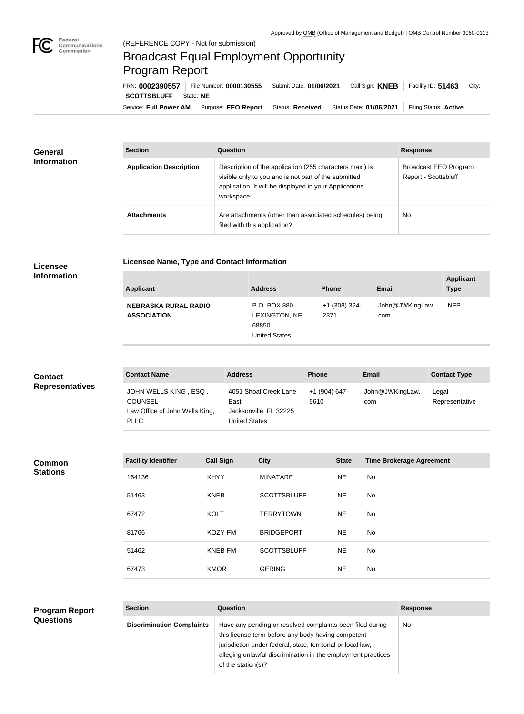

## Broadcast Equal Employment Opportunity Program Report

**Licensee Name, Type and Contact Information**

Service: Full Power AM | Purpose: EEO Report | Status: Received | Status Date: 01/06/2021 | Filing Status: Active **SCOTTSBLUFF** State: **NE** FRN: **0002390557** File Number: **0000130555** Submit Date: **01/06/2021** Call Sign: **KNEB** Facility ID: **51463** City:

| <b>General</b><br><b>Information</b> | <b>Section</b>                 | Question                                                                                                                                                                                | <b>Response</b>                               |
|--------------------------------------|--------------------------------|-----------------------------------------------------------------------------------------------------------------------------------------------------------------------------------------|-----------------------------------------------|
|                                      | <b>Application Description</b> | Description of the application (255 characters max.) is<br>visible only to you and is not part of the submitted<br>application. It will be displayed in your Applications<br>workspace. | Broadcast EEO Program<br>Report - Scottsbluff |
|                                      | <b>Attachments</b>             | Are attachments (other than associated schedules) being<br>filed with this application?                                                                                                 | <b>No</b>                                     |

## **Licensee Information**

| <b>Applicant</b>                                  | <b>Address</b>                                                 | <b>Phone</b>          | Email                  | <b>Applicant</b><br><b>Type</b> |
|---------------------------------------------------|----------------------------------------------------------------|-----------------------|------------------------|---------------------------------|
| <b>NEBRASKA RURAL RADIO</b><br><b>ASSOCIATION</b> | P.O. BOX 880<br>LEXINGTON, NE<br>68850<br><b>United States</b> | +1 (308) 324-<br>2371 | John@JWKingLaw.<br>com | <b>NFP</b>                      |

| <b>Contact</b>         | <b>Contact Name</b>                                                                      | <b>Address</b>                                                           | <b>Phone</b>          | Email                  | <b>Contact Type</b>     |
|------------------------|------------------------------------------------------------------------------------------|--------------------------------------------------------------------------|-----------------------|------------------------|-------------------------|
| <b>Representatives</b> | JOHN WELLS KING, ESQ.<br><b>COUNSEL</b><br>Law Office of John Wells King,<br><b>PLLC</b> | 4051 Shoal Creek Lane<br>East<br>Jacksonville, FL 32225<br>United States | +1 (904) 647-<br>9610 | John@JWKingLaw.<br>com | Legal<br>Representative |

## **Common Stations**

| <b>Facility Identifier</b> | <b>Call Sign</b> | <b>City</b>        | <b>State</b> | <b>Time Brokerage Agreement</b> |
|----------------------------|------------------|--------------------|--------------|---------------------------------|
| 164136                     | <b>KHYY</b>      | <b>MINATARE</b>    | <b>NE</b>    | No.                             |
| 51463                      | <b>KNEB</b>      | <b>SCOTTSBLUFF</b> | NE.          | No                              |
| 67472                      | <b>KOLT</b>      | <b>TERRYTOWN</b>   | <b>NE</b>    | No.                             |
| 81766                      | KOZY-FM          | <b>BRIDGEPORT</b>  | <b>NE</b>    | No.                             |
| 51462                      | KNEB-FM          | <b>SCOTTSBLUFF</b> | <b>NE</b>    | No.                             |
| 67473                      | <b>KMOR</b>      | <b>GERING</b>      | NE           | No                              |

## **Program Report Questions**

| <b>Section</b>                   | Question                                                                                                                                                                                                                                                              | <b>Response</b> |
|----------------------------------|-----------------------------------------------------------------------------------------------------------------------------------------------------------------------------------------------------------------------------------------------------------------------|-----------------|
| <b>Discrimination Complaints</b> | Have any pending or resolved complaints been filed during<br>this license term before any body having competent<br>jurisdiction under federal, state, territorial or local law,<br>alleging unlawful discrimination in the employment practices<br>of the station(s)? | No.             |